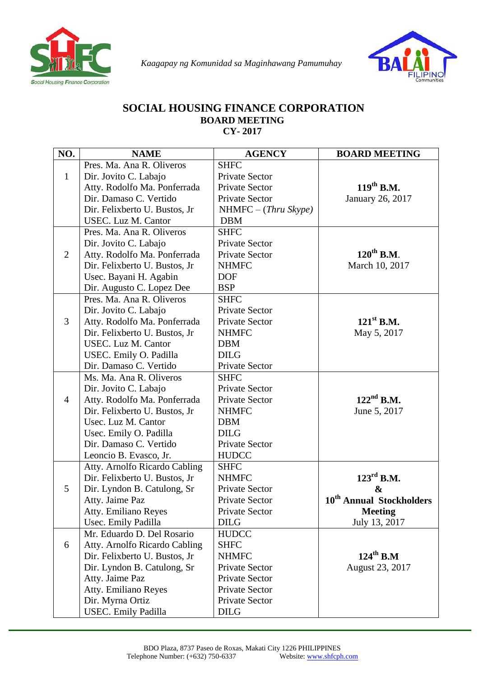



## **SOCIAL HOUSING FINANCE CORPORATION BOARD MEETING CY- 2017**

| NO.            | <b>NAME</b>                    | <b>AGENCY</b>          | <b>BOARD MEETING</b>                 |
|----------------|--------------------------------|------------------------|--------------------------------------|
|                | Pres. Ma. Ana R. Oliveros      | <b>SHFC</b>            |                                      |
| $\mathbf{1}$   | Dir. Jovito C. Labajo          | Private Sector         |                                      |
|                | Atty. Rodolfo Ma. Ponferrada   | Private Sector         | $119^{th}$ B.M.                      |
|                | Dir. Damaso C. Vertido         | <b>Private Sector</b>  | January 26, 2017                     |
|                | Dir. Felixberto U. Bustos, Jr. | $NHMFC - (Thru Skype)$ |                                      |
|                | USEC. Luz M. Cantor            | <b>DBM</b>             |                                      |
|                | Pres. Ma. Ana R. Oliveros      | <b>SHFC</b>            |                                      |
|                | Dir. Jovito C. Labajo          | Private Sector         |                                      |
| 2              | Atty. Rodolfo Ma. Ponferrada   | Private Sector         | $120^{th}$ B.M.                      |
|                | Dir. Felixberto U. Bustos, Jr  | <b>NHMFC</b>           | March 10, 2017                       |
|                | Usec. Bayani H. Agabin         | <b>DOF</b>             |                                      |
|                | Dir. Augusto C. Lopez Dee      | <b>BSP</b>             |                                      |
|                | Pres. Ma. Ana R. Oliveros      | <b>SHFC</b>            |                                      |
|                | Dir. Jovito C. Labajo          | Private Sector         |                                      |
| 3              | Atty. Rodolfo Ma. Ponferrada   | Private Sector         | $121^{\text{st}}$ B.M.               |
|                | Dir. Felixberto U. Bustos, Jr. | <b>NHMFC</b>           | May 5, 2017                          |
|                | USEC. Luz M. Cantor            | <b>DBM</b>             |                                      |
|                | USEC. Emily O. Padilla         | <b>DILG</b>            |                                      |
|                | Dir. Damaso C. Vertido         | <b>Private Sector</b>  |                                      |
|                | Ms. Ma. Ana R. Oliveros        | <b>SHFC</b>            |                                      |
|                | Dir. Jovito C. Labajo          | Private Sector         |                                      |
| $\overline{4}$ | Atty. Rodolfo Ma. Ponferrada   | Private Sector         | $122nd$ B.M.                         |
|                | Dir. Felixberto U. Bustos, Jr  | <b>NHMFC</b>           | June 5, 2017                         |
|                | Usec. Luz M. Cantor            | <b>DBM</b>             |                                      |
|                | Usec. Emily O. Padilla         | <b>DILG</b>            |                                      |
|                | Dir. Damaso C. Vertido         | Private Sector         |                                      |
|                | Leoncio B. Evasco, Jr.         | <b>HUDCC</b>           |                                      |
|                | Atty. Arnolfo Ricardo Cabling  | <b>SHFC</b>            |                                      |
|                | Dir. Felixberto U. Bustos, Jr  | <b>NHMFC</b>           | $123^{\text{rd}}$ B.M.               |
| 5              | Dir. Lyndon B. Catulong, Sr    | <b>Private Sector</b>  | &                                    |
|                | Atty. Jaime Paz                | Private Sector         | 10 <sup>th</sup> Annual Stockholders |
|                | <b>Atty. Emiliano Reyes</b>    | Private Sector         | <b>Meeting</b>                       |
|                | Usec. Emily Padilla            | <b>DILG</b>            | July 13, 2017                        |
|                | Mr. Eduardo D. Del Rosario     | <b>HUDCC</b>           |                                      |
| 6              | Atty. Arnolfo Ricardo Cabling  | <b>SHFC</b>            |                                      |
|                | Dir. Felixberto U. Bustos, Jr  | <b>NHMFC</b>           | $124^{\text{th}}$ B.M                |
|                | Dir. Lyndon B. Catulong, Sr    | Private Sector         | August 23, 2017                      |
|                | Atty. Jaime Paz                | Private Sector         |                                      |
|                | Atty. Emiliano Reyes           | Private Sector         |                                      |
|                | Dir. Myrna Ortiz               | Private Sector         |                                      |
|                | <b>USEC.</b> Emily Padilla     | <b>DILG</b>            |                                      |

 $\overline{a}$